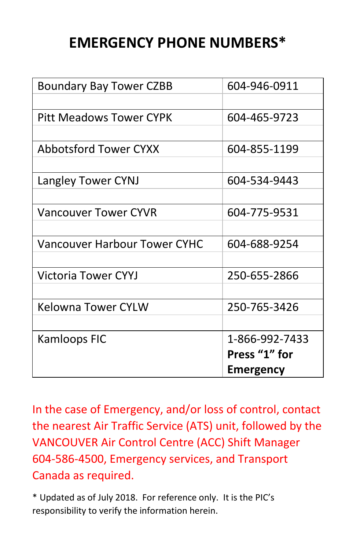## **EMERGENCY PHONE NUMBERS\***

| <b>Boundary Bay Tower CZBB</b>      | 604-946-0911     |
|-------------------------------------|------------------|
|                                     |                  |
| <b>Pitt Meadows Tower CYPK</b>      | 604-465-9723     |
|                                     |                  |
| <b>Abbotsford Tower CYXX</b>        | 604-855-1199     |
|                                     |                  |
| Langley Tower CYNJ                  | 604-534-9443     |
|                                     |                  |
| <b>Vancouver Tower CYVR</b>         | 604-775-9531     |
|                                     |                  |
| <b>Vancouver Harbour Tower CYHC</b> | 604-688-9254     |
|                                     |                  |
| <b>Victoria Tower CYYJ</b>          | 250-655-2866     |
|                                     |                  |
| <b>Kelowna Tower CYLW</b>           | 250-765-3426     |
|                                     |                  |
| Kamloops FIC                        | 1-866-992-7433   |
|                                     | Press "1" for    |
|                                     | <b>Emergency</b> |

In the case of Emergency, and/or loss of control, contact the nearest Air Traffic Service (ATS) unit, followed by the VANCOUVER Air Control Centre (ACC) Shift Manager 604-586-4500, Emergency services, and Transport Canada as required.

\* Updated as of July 2018. For reference only. It is the PIC's responsibility to verify the information herein.